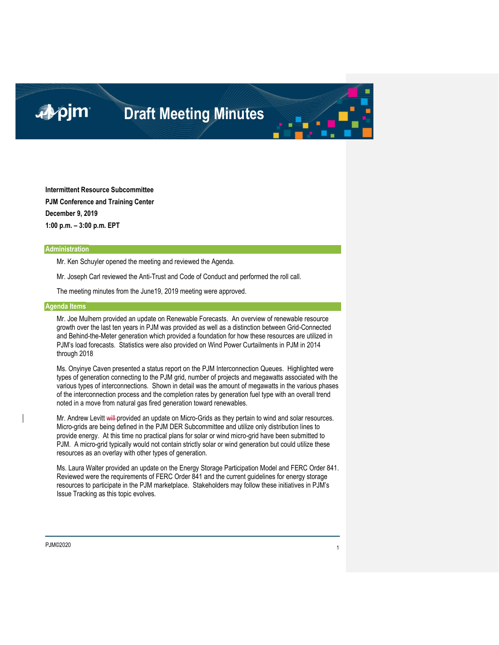### ■pjm

### **Draft Meeting Minutes**

**Intermittent Resource Subcommittee PJM Conference and Training Center December 9, 2019 1:00 p.m. – 3:00 p.m. EPT**

#### **Administration**

Mr. Ken Schuyler opened the meeting and reviewed the Agenda.

Mr. Joseph Carl reviewed the Anti-Trust and Code of Conduct and performed the roll call.

The meeting minutes from the June19, 2019 meeting were approved.

#### **Agenda Items**

Mr. Joe Mulhern provided an update on Renewable Forecasts. An overview of renewable resource growth over the last ten years in PJM was provided as well as a distinction between Grid-Connected and Behind-the-Meter generation which provided a foundation for how these resources are utilized in PJM's load forecasts. Statistics were also provided on Wind Power Curtailments in PJM in 2014 through 2018

Ms. Onyinye Caven presented a status report on the PJM Interconnection Queues. Highlighted were types of generation connecting to the PJM grid, number of projects and megawatts associated with the various types of interconnections. Shown in detail was the amount of megawatts in the various phases of the interconnection process and the completion rates by generation fuel type with an overall trend noted in a move from natural gas fired generation toward renewables.

Mr. Andrew Levitt will-provided an update on Micro-Grids as they pertain to wind and solar resources. Micro-grids are being defined in the PJM DER Subcommittee and utilize only distribution lines to provide energy. At this time no practical plans for solar or wind micro-grid have been submitted to PJM. A micro-grid typically would not contain strictly solar or wind generation but could utilize these resources as an overlay with other types of generation.

Ms. Laura Walter provided an update on the Energy Storage Participation Model and FERC Order 841. Reviewed were the requirements of FERC Order 841 and the current guidelines for energy storage resources to participate in the PJM marketplace. Stakeholders may follow these initiatives in PJM's Issue Tracking as this topic evolves.

#### PJM©2020 <sup>1</sup>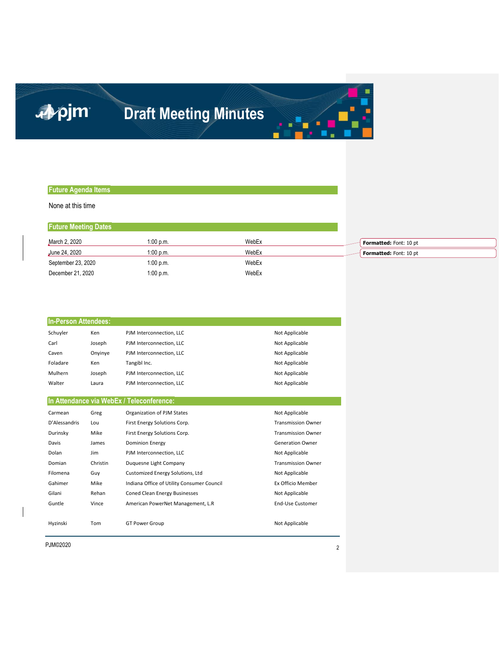# apjm

# **Draft Meeting Minutes**

#### **Future Agenda Items**

None at this time

| <b>Future Meeting Dates</b> |             |       |                        |
|-----------------------------|-------------|-------|------------------------|
| March 2, 2020               | $1:00$ p.m. | WebEx | Formatted: Font: 10 pt |
| June 24, 2020               | $1:00$ p.m. | WebEx | Formatted: Font: 10 pt |
| September 23, 2020          | 1:00 p.m.   | WebEx |                        |
| December 21, 2020           | 1:00 p.m.   | WebEx |                        |

| <b>In-Person Attendees:</b> |          |                                            |                           |  |  |  |
|-----------------------------|----------|--------------------------------------------|---------------------------|--|--|--|
| Schuyler                    | Ken      | PJM Interconnection, LLC                   | Not Applicable            |  |  |  |
| Carl                        | Joseph   | PJM Interconnection, LLC                   | Not Applicable            |  |  |  |
| Caven                       | Onyinye  | PJM Interconnection, LLC                   | Not Applicable            |  |  |  |
| Foladare                    | Ken      | Tangibl Inc.                               | Not Applicable            |  |  |  |
| Mulhern                     | Joseph   | PJM Interconnection, LLC                   | Not Applicable            |  |  |  |
| Walter                      | Laura    | PJM Interconnection, LLC                   | Not Applicable            |  |  |  |
|                             |          |                                            |                           |  |  |  |
|                             |          | In Attendance via WebEx / Teleconference:  |                           |  |  |  |
| Carmean                     | Greg     | Organization of PJM States                 | Not Applicable            |  |  |  |
| D'Alessandris               | Lou      | First Energy Solutions Corp.               | <b>Transmission Owner</b> |  |  |  |
| Durinsky                    | Mike     | First Energy Solutions Corp.               | <b>Transmission Owner</b> |  |  |  |
| Davis                       | James    | <b>Dominion Energy</b>                     | <b>Generation Owner</b>   |  |  |  |
| Dolan                       | Jim      | PJM Interconnection, LLC                   | Not Applicable            |  |  |  |
| Domian                      | Christin | Duquesne Light Company                     | <b>Transmission Owner</b> |  |  |  |
| Filomena                    | Guy      | <b>Customized Energy Solutions, Ltd</b>    | Not Applicable            |  |  |  |
| Gahimer                     | Mike     | Indiana Office of Utility Consumer Council | Ex Officio Member         |  |  |  |
| Gilani                      | Rehan    | Coned Clean Energy Businesses              | Not Applicable            |  |  |  |
| Guntle                      | Vince    | American PowerNet Management, L.R.         | <b>End-Use Customer</b>   |  |  |  |
|                             |          |                                            |                           |  |  |  |
| Hyzinski                    | Tom      | <b>GT Power Group</b>                      | Not Applicable            |  |  |  |

PJM©2020 <sup>2</sup>

Ξ

u